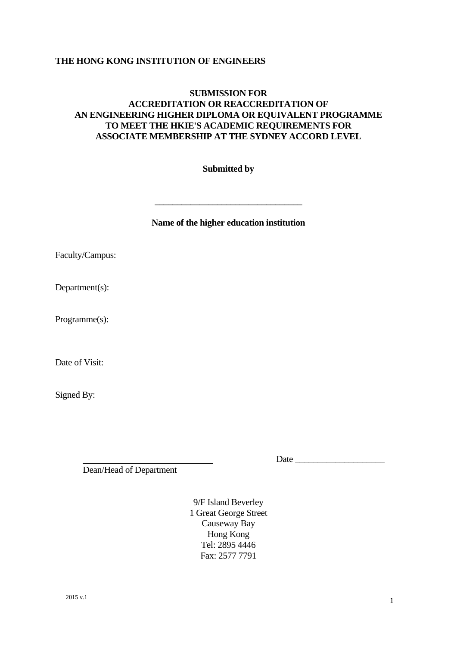# **THE HONG KONG INSTITUTION OF ENGINEERS**

# **SUBMISSION FOR ACCREDITATION OR REACCREDITATION OF AN ENGINEERING HIGHER DIPLOMA OR EQUIVALENT PROGRAMME TO MEET THE HKIE'S ACADEMIC REQUIREMENTS FOR ASSOCIATE MEMBERSHIP AT THE SYDNEY ACCORD LEVEL**

# **Submitted by**

**Name of the higher education institution** 

**\_\_\_\_\_\_\_\_\_\_\_\_\_\_\_\_\_\_\_\_\_\_\_\_\_\_\_\_\_\_\_\_\_** 

Faculty/Campus:

Department(s):

Programme(s):

Date of Visit:

Signed By:

Date  $\Box$ 

Dean/Head of Department

9/F Island Beverley 1 Great George Street Causeway Bay Hong Kong Tel: 2895 4446 Fax: 2577 7791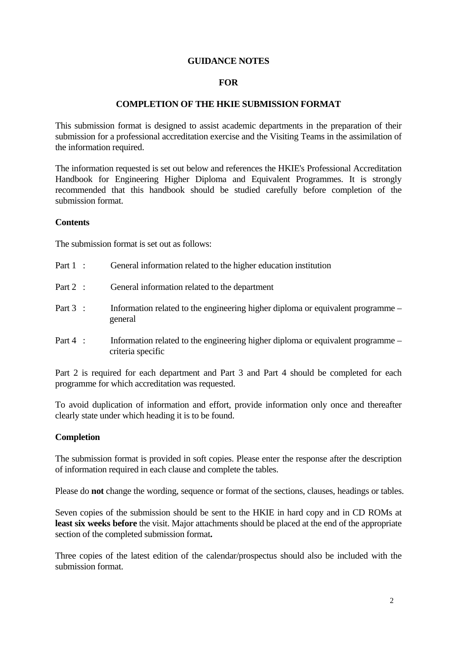# **GUIDANCE NOTES**

# **FOR**

# **COMPLETION OF THE HKIE SUBMISSION FORMAT**

This submission format is designed to assist academic departments in the preparation of their submission for a professional accreditation exercise and the Visiting Teams in the assimilation of the information required.

The information requested is set out below and references the HKIE's Professional Accreditation Handbook for Engineering Higher Diploma and Equivalent Programmes. It is strongly recommended that this handbook should be studied carefully before completion of the submission format.

#### **Contents**

The submission format is set out as follows:

| Part $1$ : | General information related to the higher education institution                                      |
|------------|------------------------------------------------------------------------------------------------------|
| Part $2$ : | General information related to the department                                                        |
| Part $3$ : | Information related to the engineering higher diploma or equivalent programme –<br>general           |
| Part $4$ : | Information related to the engineering higher diploma or equivalent programme –<br>criteria specific |

Part 2 is required for each department and Part 3 and Part 4 should be completed for each programme for which accreditation was requested.

To avoid duplication of information and effort, provide information only once and thereafter clearly state under which heading it is to be found.

# **Completion**

The submission format is provided in soft copies. Please enter the response after the description of information required in each clause and complete the tables.

Please do **not** change the wording, sequence or format of the sections, clauses, headings or tables.

Seven copies of the submission should be sent to the HKIE in hard copy and in CD ROMs at **least six weeks before** the visit. Major attachments should be placed at the end of the appropriate section of the completed submission format**.** 

Three copies of the latest edition of the calendar/prospectus should also be included with the submission format.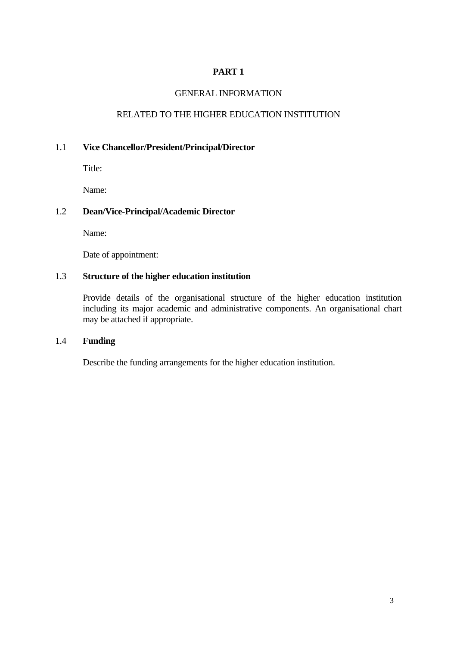# GENERAL INFORMATION

# RELATED TO THE HIGHER EDUCATION INSTITUTION

# 1.1 **Vice Chancellor/President/Principal/Director**

Title:

Name:

# 1.2 **Dean/Vice-Principal/Academic Director**

Name:

Date of appointment:

# 1.3 **Structure of the higher education institution**

Provide details of the organisational structure of the higher education institution including its major academic and administrative components. An organisational chart may be attached if appropriate.

# 1.4 **Funding**

Describe the funding arrangements for the higher education institution.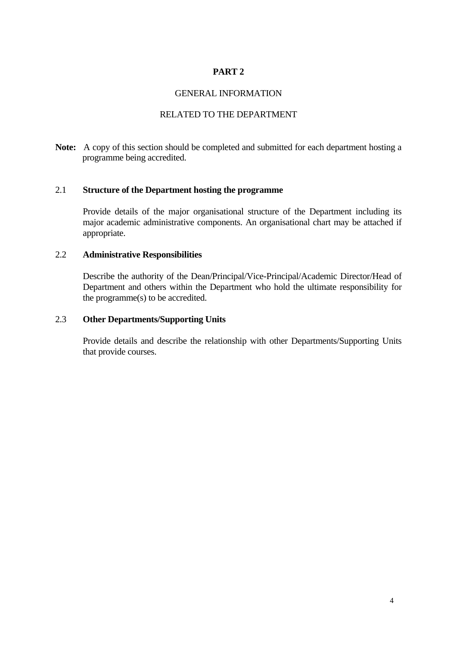# GENERAL INFORMATION

# RELATED TO THE DEPARTMENT

**Note:** A copy of this section should be completed and submitted for each department hosting a programme being accredited.

# 2.1 **Structure of the Department hosting the programme**

Provide details of the major organisational structure of the Department including its major academic administrative components. An organisational chart may be attached if appropriate.

# 2.2 **Administrative Responsibilities**

Describe the authority of the Dean/Principal/Vice-Principal/Academic Director/Head of Department and others within the Department who hold the ultimate responsibility for the programme(s) to be accredited.

#### 2.3 **Other Departments/Supporting Units**

Provide details and describe the relationship with other Departments/Supporting Units that provide courses.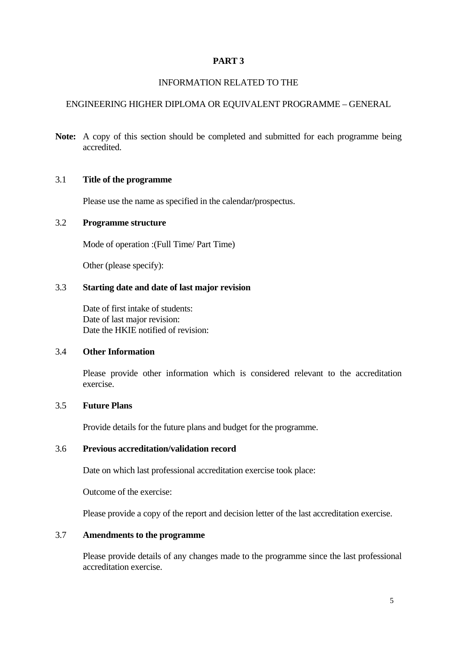# INFORMATION RELATED TO THE

# ENGINEERING HIGHER DIPLOMA OR EQUIVALENT PROGRAMME – GENERAL

Note: A copy of this section should be completed and submitted for each programme being accredited.

# 3.1 **Title of the programme**

Please use the name as specified in the calendar**/**prospectus.

# 3.2 **Programme structure**

Mode of operation :(Full Time/ Part Time)

Other (please specify):

# 3.3 **Starting date and date of last major revision**

Date of first intake of students: Date of last major revision: Date the HKIE notified of revision:

# 3.4 **Other Information**

Please provide other information which is considered relevant to the accreditation exercise.

# 3.5 **Future Plans**

Provide details for the future plans and budget for the programme.

# 3.6 **Previous accreditation/validation record**

Date on which last professional accreditation exercise took place:

Outcome of the exercise:

Please provide a copy of the report and decision letter of the last accreditation exercise.

# 3.7 **Amendments to the programme**

Please provide details of any changes made to the programme since the last professional accreditation exercise.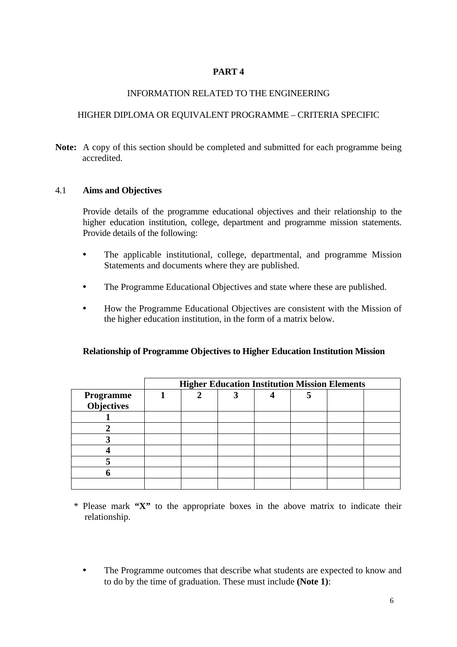# INFORMATION RELATED TO THE ENGINEERING

# HIGHER DIPLOMA OR EQUIVALENT PROGRAMME – CRITERIA SPECIFIC

Note: A copy of this section should be completed and submitted for each programme being accredited.

# 4.1 **Aims and Objectives**

Provide details of the programme educational objectives and their relationship to the higher education institution, college, department and programme mission statements. Provide details of the following:

- The applicable institutional, college, departmental, and programme Mission Statements and documents where they are published.
- The Programme Educational Objectives and state where these are published.
- How the Programme Educational Objectives are consistent with the Mission of the higher education institution, in the form of a matrix below.

# **Relationship of Programme Objectives to Higher Education Institution Mission**

|                                       | <b>Higher Education Institution Mission Elements</b> |  |  |  |  |  |  |  |  |  |
|---------------------------------------|------------------------------------------------------|--|--|--|--|--|--|--|--|--|
| <b>Programme</b><br><b>Objectives</b> |                                                      |  |  |  |  |  |  |  |  |  |
|                                       |                                                      |  |  |  |  |  |  |  |  |  |
|                                       |                                                      |  |  |  |  |  |  |  |  |  |
|                                       |                                                      |  |  |  |  |  |  |  |  |  |
|                                       |                                                      |  |  |  |  |  |  |  |  |  |
|                                       |                                                      |  |  |  |  |  |  |  |  |  |
|                                       |                                                      |  |  |  |  |  |  |  |  |  |
|                                       |                                                      |  |  |  |  |  |  |  |  |  |

\* Please mark **"X"** to the appropriate boxes in the above matrix to indicate their relationship.

• The Programme outcomes that describe what students are expected to know and to do by the time of graduation. These must include **(Note 1)**: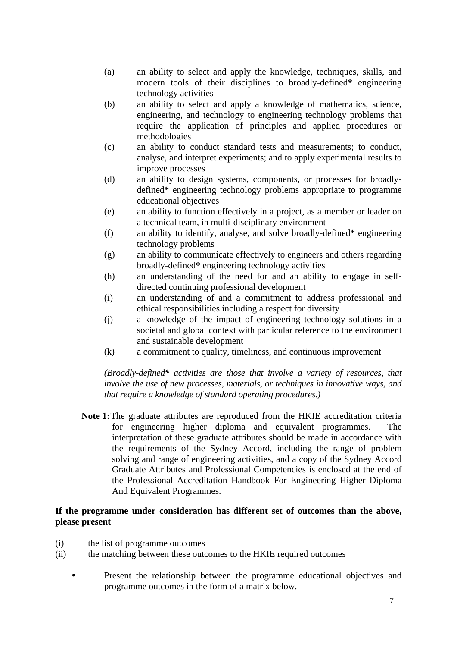- (a) an ability to select and apply the knowledge, techniques, skills, and modern tools of their disciplines to broadly-defined**\*** engineering technology activities
- (b) an ability to select and apply a knowledge of mathematics, science, engineering, and technology to engineering technology problems that require the application of principles and applied procedures or methodologies
- (c) an ability to conduct standard tests and measurements; to conduct, analyse, and interpret experiments; and to apply experimental results to improve processes
- (d) an ability to design systems, components, or processes for broadlydefined**\*** engineering technology problems appropriate to programme educational objectives
- (e) an ability to function effectively in a project, as a member or leader on a technical team, in multi-disciplinary environment
- (f) an ability to identify, analyse, and solve broadly-defined**\*** engineering technology problems
- (g) an ability to communicate effectively to engineers and others regarding broadly-defined**\*** engineering technology activities
- (h) an understanding of the need for and an ability to engage in selfdirected continuing professional development
- (i) an understanding of and a commitment to address professional and ethical responsibilities including a respect for diversity
- (j) a knowledge of the impact of engineering technology solutions in a societal and global context with particular reference to the environment and sustainable development
- (k) a commitment to quality, timeliness, and continuous improvement

*(Broadly-defined\* activities are those that involve a variety of resources, that involve the use of new processes, materials, or techniques in innovative ways, and that require a knowledge of standard operating procedures.)* 

**Note 1:**The graduate attributes are reproduced from the HKIE accreditation criteria for engineering higher diploma and equivalent programmes. The interpretation of these graduate attributes should be made in accordance with the requirements of the Sydney Accord, including the range of problem solving and range of engineering activities, and a copy of the Sydney Accord Graduate Attributes and Professional Competencies is enclosed at the end of the Professional Accreditation Handbook For Engineering Higher Diploma And Equivalent Programmes.

# **If the programme under consideration has different set of outcomes than the above, please present**

- (i) the list of programme outcomes
- (ii) the matching between these outcomes to the HKIE required outcomes
	- Present the relationship between the programme educational objectives and programme outcomes in the form of a matrix below.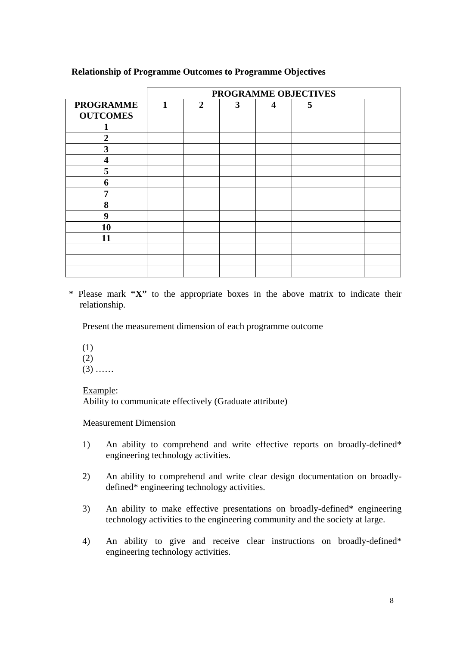|                                     | PROGRAMME OBJECTIVES |                |   |                  |   |  |  |  |  |
|-------------------------------------|----------------------|----------------|---|------------------|---|--|--|--|--|
| <b>PROGRAMME</b><br><b>OUTCOMES</b> | 1                    | $\overline{2}$ | 3 | $\boldsymbol{4}$ | 5 |  |  |  |  |
|                                     |                      |                |   |                  |   |  |  |  |  |
| $\overline{2}$                      |                      |                |   |                  |   |  |  |  |  |
| 3                                   |                      |                |   |                  |   |  |  |  |  |
| $\overline{\mathbf{4}}$             |                      |                |   |                  |   |  |  |  |  |
| 5                                   |                      |                |   |                  |   |  |  |  |  |
| 6                                   |                      |                |   |                  |   |  |  |  |  |
| 7                                   |                      |                |   |                  |   |  |  |  |  |
| 8                                   |                      |                |   |                  |   |  |  |  |  |
| 9                                   |                      |                |   |                  |   |  |  |  |  |
| 10                                  |                      |                |   |                  |   |  |  |  |  |
| 11                                  |                      |                |   |                  |   |  |  |  |  |
|                                     |                      |                |   |                  |   |  |  |  |  |
|                                     |                      |                |   |                  |   |  |  |  |  |
|                                     |                      |                |   |                  |   |  |  |  |  |

# **Relationship of Programme Outcomes to Programme Objectives**

\* Please mark **"X"** to the appropriate boxes in the above matrix to indicate their relationship.

Present the measurement dimension of each programme outcome

(1) (2)

 $(3)$  ……

Example:

Ability to communicate effectively (Graduate attribute)

Measurement Dimension

- 1) An ability to comprehend and write effective reports on broadly-defined\* engineering technology activities.
- 2) An ability to comprehend and write clear design documentation on broadlydefined\* engineering technology activities.
- 3) An ability to make effective presentations on broadly-defined\* engineering technology activities to the engineering community and the society at large.
- 4) An ability to give and receive clear instructions on broadly-defined\* engineering technology activities.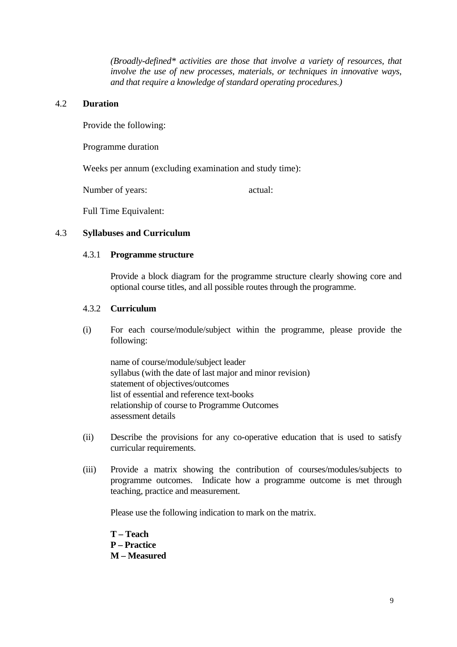*(Broadly-defined\* activities are those that involve a variety of resources, that involve the use of new processes, materials, or techniques in innovative ways, and that require a knowledge of standard operating procedures.)* 

#### 4.2 **Duration**

Provide the following:

Programme duration

Weeks per annum (excluding examination and study time):

Number of years:  $\alpha$  actual:

Full Time Equivalent:

#### 4.3 **Syllabuses and Curriculum**

#### 4.3.1 **Programme structure**

Provide a block diagram for the programme structure clearly showing core and optional course titles, and all possible routes through the programme.

#### 4.3.2 **Curriculum**

(i) For each course/module/subject within the programme, please provide the following:

name of course/module/subject leader syllabus (with the date of last major and minor revision) statement of objectives/outcomes list of essential and reference text-books relationship of course to Programme Outcomes assessment details

- (ii) Describe the provisions for any co-operative education that is used to satisfy curricular requirements.
- (iii) Provide a matrix showing the contribution of courses/modules/subjects to programme outcomes. Indicate how a programme outcome is met through teaching, practice and measurement.

Please use the following indication to mark on the matrix.

**T – Teach P – Practice M – Measured**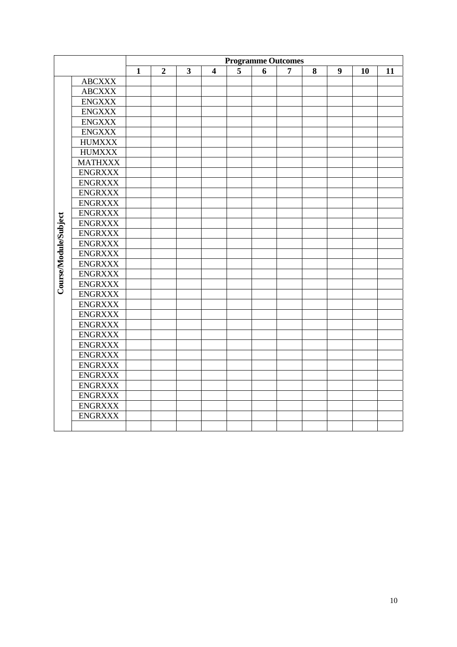|                       |                | <b>Programme Outcomes</b> |                                                                                                           |  |  |  |  |  |  |  |  |  |  |
|-----------------------|----------------|---------------------------|-----------------------------------------------------------------------------------------------------------|--|--|--|--|--|--|--|--|--|--|
|                       |                | $\mathbf{1}$              | $\overline{\mathbf{3}}$<br>5<br>8<br>9<br>$\overline{2}$<br>6<br>$\overline{\mathbf{4}}$<br>7<br>10<br>11 |  |  |  |  |  |  |  |  |  |  |
|                       | <b>ABCXXX</b>  |                           |                                                                                                           |  |  |  |  |  |  |  |  |  |  |
|                       | <b>ABCXXX</b>  |                           |                                                                                                           |  |  |  |  |  |  |  |  |  |  |
|                       | <b>ENGXXX</b>  |                           |                                                                                                           |  |  |  |  |  |  |  |  |  |  |
|                       | <b>ENGXXX</b>  |                           |                                                                                                           |  |  |  |  |  |  |  |  |  |  |
|                       | <b>ENGXXX</b>  |                           |                                                                                                           |  |  |  |  |  |  |  |  |  |  |
|                       | <b>ENGXXX</b>  |                           |                                                                                                           |  |  |  |  |  |  |  |  |  |  |
|                       | <b>HUMXXX</b>  |                           |                                                                                                           |  |  |  |  |  |  |  |  |  |  |
|                       | <b>HUMXXX</b>  |                           |                                                                                                           |  |  |  |  |  |  |  |  |  |  |
|                       | <b>MATHXXX</b> |                           |                                                                                                           |  |  |  |  |  |  |  |  |  |  |
|                       | <b>ENGRXXX</b> |                           |                                                                                                           |  |  |  |  |  |  |  |  |  |  |
|                       | <b>ENGRXXX</b> |                           |                                                                                                           |  |  |  |  |  |  |  |  |  |  |
|                       | <b>ENGRXXX</b> |                           |                                                                                                           |  |  |  |  |  |  |  |  |  |  |
|                       | <b>ENGRXXX</b> |                           |                                                                                                           |  |  |  |  |  |  |  |  |  |  |
|                       | <b>ENGRXXX</b> |                           |                                                                                                           |  |  |  |  |  |  |  |  |  |  |
|                       | <b>ENGRXXX</b> |                           |                                                                                                           |  |  |  |  |  |  |  |  |  |  |
|                       | <b>ENGRXXX</b> |                           |                                                                                                           |  |  |  |  |  |  |  |  |  |  |
|                       | <b>ENGRXXX</b> |                           |                                                                                                           |  |  |  |  |  |  |  |  |  |  |
| Course/Module/Subject | <b>ENGRXXX</b> |                           |                                                                                                           |  |  |  |  |  |  |  |  |  |  |
|                       | <b>ENGRXXX</b> |                           |                                                                                                           |  |  |  |  |  |  |  |  |  |  |
|                       | <b>ENGRXXX</b> |                           |                                                                                                           |  |  |  |  |  |  |  |  |  |  |
|                       | <b>ENGRXXX</b> |                           |                                                                                                           |  |  |  |  |  |  |  |  |  |  |
|                       | <b>ENGRXXX</b> |                           |                                                                                                           |  |  |  |  |  |  |  |  |  |  |
|                       | <b>ENGRXXX</b> |                           |                                                                                                           |  |  |  |  |  |  |  |  |  |  |
|                       | <b>ENGRXXX</b> |                           |                                                                                                           |  |  |  |  |  |  |  |  |  |  |
|                       | <b>ENGRXXX</b> |                           |                                                                                                           |  |  |  |  |  |  |  |  |  |  |
|                       | <b>ENGRXXX</b> |                           |                                                                                                           |  |  |  |  |  |  |  |  |  |  |
|                       | <b>ENGRXXX</b> |                           |                                                                                                           |  |  |  |  |  |  |  |  |  |  |
|                       | <b>ENGRXXX</b> |                           |                                                                                                           |  |  |  |  |  |  |  |  |  |  |
|                       | <b>ENGRXXX</b> |                           |                                                                                                           |  |  |  |  |  |  |  |  |  |  |
|                       | <b>ENGRXXX</b> |                           |                                                                                                           |  |  |  |  |  |  |  |  |  |  |
|                       | <b>ENGRXXX</b> |                           |                                                                                                           |  |  |  |  |  |  |  |  |  |  |
|                       | <b>ENGRXXX</b> |                           |                                                                                                           |  |  |  |  |  |  |  |  |  |  |
|                       | <b>ENGRXXX</b> |                           |                                                                                                           |  |  |  |  |  |  |  |  |  |  |
|                       | <b>ENGRXXX</b> |                           |                                                                                                           |  |  |  |  |  |  |  |  |  |  |
|                       |                |                           |                                                                                                           |  |  |  |  |  |  |  |  |  |  |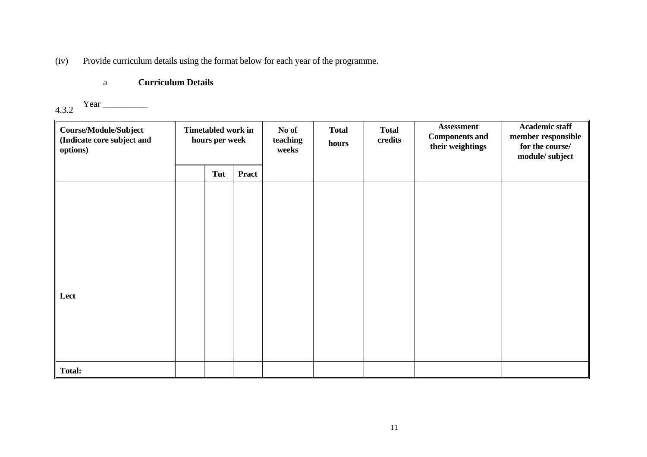(iv) Provide curriculum details using the format below for each year of the programme.

# a **Curriculum Details**

#### 4.3.2 Year \_\_\_\_\_\_\_\_\_\_

| <b>Course/Module/Subject</b><br>(Indicate core subject and<br>options) | Timetabled work in<br>hours per week |     | No of<br>teaching<br>weeks |  | <b>Total</b><br>hours | <b>Total</b><br>credits | <b>Assessment</b><br><b>Components and</b><br>their weightings | <b>Academic staff</b><br>member responsible<br>for the course/<br>module/subject |
|------------------------------------------------------------------------|--------------------------------------|-----|----------------------------|--|-----------------------|-------------------------|----------------------------------------------------------------|----------------------------------------------------------------------------------|
|                                                                        |                                      | Tut | <b>Pract</b>               |  |                       |                         |                                                                |                                                                                  |
|                                                                        |                                      |     |                            |  |                       |                         |                                                                |                                                                                  |
|                                                                        |                                      |     |                            |  |                       |                         |                                                                |                                                                                  |
|                                                                        |                                      |     |                            |  |                       |                         |                                                                |                                                                                  |
|                                                                        |                                      |     |                            |  |                       |                         |                                                                |                                                                                  |
|                                                                        |                                      |     |                            |  |                       |                         |                                                                |                                                                                  |
|                                                                        |                                      |     |                            |  |                       |                         |                                                                |                                                                                  |
| Lect                                                                   |                                      |     |                            |  |                       |                         |                                                                |                                                                                  |
|                                                                        |                                      |     |                            |  |                       |                         |                                                                |                                                                                  |
|                                                                        |                                      |     |                            |  |                       |                         |                                                                |                                                                                  |
|                                                                        |                                      |     |                            |  |                       |                         |                                                                |                                                                                  |
| <b>Total:</b>                                                          |                                      |     |                            |  |                       |                         |                                                                |                                                                                  |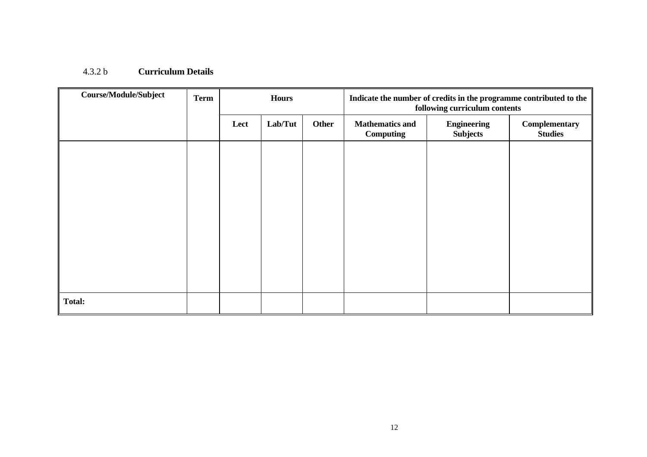#### 4.3.2 b **Curriculum Details**

| <b>Course/Module/Subject</b> | <b>Term</b> | <b>Hours</b> |         |       | Indicate the number of credits in the programme contributed to the<br>following curriculum contents |                                       |                                 |  |
|------------------------------|-------------|--------------|---------|-------|-----------------------------------------------------------------------------------------------------|---------------------------------------|---------------------------------|--|
|                              |             | Lect         | Lab/Tut | Other | <b>Mathematics and</b><br><b>Computing</b>                                                          | <b>Engineering</b><br><b>Subjects</b> | Complementary<br><b>Studies</b> |  |
|                              |             |              |         |       |                                                                                                     |                                       |                                 |  |
|                              |             |              |         |       |                                                                                                     |                                       |                                 |  |
|                              |             |              |         |       |                                                                                                     |                                       |                                 |  |
|                              |             |              |         |       |                                                                                                     |                                       |                                 |  |
|                              |             |              |         |       |                                                                                                     |                                       |                                 |  |
|                              |             |              |         |       |                                                                                                     |                                       |                                 |  |
| <b>Total:</b>                |             |              |         |       |                                                                                                     |                                       |                                 |  |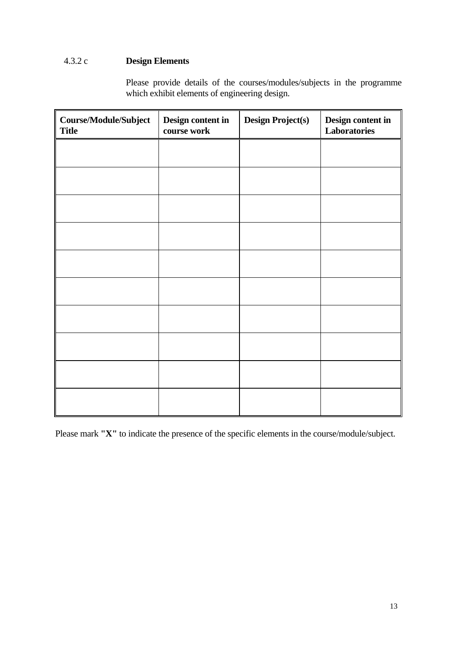# 4.3.2 c **Design Elements**

Please provide details of the courses/modules/subjects in the programme which exhibit elements of engineering design.

| Course/Module/Subject<br><b>Title</b> | Design content in<br>course work | <b>Design Project(s)</b> | Design content in<br>Laboratories |
|---------------------------------------|----------------------------------|--------------------------|-----------------------------------|
|                                       |                                  |                          |                                   |
|                                       |                                  |                          |                                   |
|                                       |                                  |                          |                                   |
|                                       |                                  |                          |                                   |
|                                       |                                  |                          |                                   |
|                                       |                                  |                          |                                   |
|                                       |                                  |                          |                                   |
|                                       |                                  |                          |                                   |
|                                       |                                  |                          |                                   |
|                                       |                                  |                          |                                   |

Please mark **"X"** to indicate the presence of the specific elements in the course/module/subject.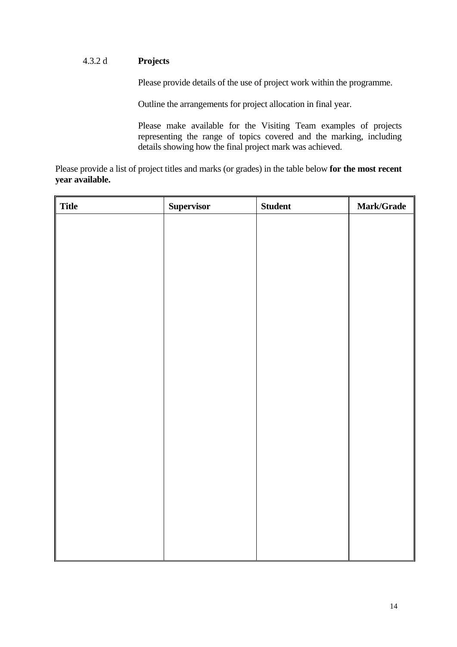#### $4.3.2 d$ 4.3.2 d **Projects**

Please provide details of the use of project work within the programme.

Outline the arrangements for project allocation in final year.

Please make available for the Visiting Team examples of projects representing the range of topics covered and the marking, including details showing how the final project mark was achieved.

Please provide a list of project titles and marks (or grades) in the table below **for the most recent year available.** 

| $\parallel$ Title | Supervisor | <b>Student</b> | Mark/Grade |
|-------------------|------------|----------------|------------|
|                   |            |                |            |
|                   |            |                |            |
|                   |            |                |            |
|                   |            |                |            |
|                   |            |                |            |
|                   |            |                |            |
|                   |            |                |            |
|                   |            |                |            |
|                   |            |                |            |
|                   |            |                |            |
|                   |            |                |            |
|                   |            |                |            |
|                   |            |                |            |
|                   |            |                |            |
|                   |            |                |            |
|                   |            |                |            |
|                   |            |                |            |
|                   |            |                |            |
|                   |            |                |            |
|                   |            |                |            |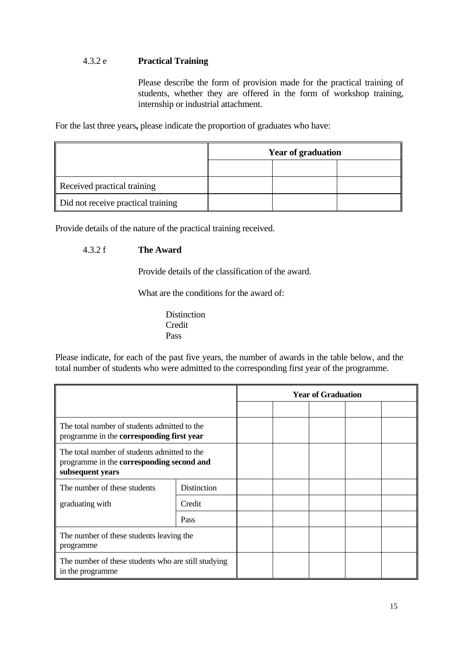# 4.3.2 e **Practical Training**

Please describe the form of provision made for the practical training of students, whether they are offered in the form of workshop training, internship or industrial attachment.

For the last three years**,** please indicate the proportion of graduates who have:

|                                    | <b>Year of graduation</b> |  |  |  |  |  |
|------------------------------------|---------------------------|--|--|--|--|--|
|                                    |                           |  |  |  |  |  |
| Received practical training        |                           |  |  |  |  |  |
| Did not receive practical training |                           |  |  |  |  |  |

Provide details of the nature of the practical training received.

#### $4.3.2 f$ **The Award**

Provide details of the classification of the award.

What are the conditions for the award of:

**Credit** Distinction Pass Pass

Please indicate, for each of the past five years, the number of awards in the table below, and the total number of students who were admitted to the corresponding first year of the programme.

|                                                                                                                      |             |  | <b>Year of Graduation</b> |  |
|----------------------------------------------------------------------------------------------------------------------|-------------|--|---------------------------|--|
|                                                                                                                      |             |  |                           |  |
| The total number of students admitted to the<br>programme in the corresponding first year                            |             |  |                           |  |
| The total number of students admitted to the<br>programme in the <b>corresponding</b> second and<br>subsequent years |             |  |                           |  |
| The number of these students                                                                                         | Distinction |  |                           |  |
| graduating with                                                                                                      | Credit      |  |                           |  |
|                                                                                                                      | <b>Pass</b> |  |                           |  |
| The number of these students leaving the<br>programme                                                                |             |  |                           |  |
| The number of these students who are still studying<br>in the programme                                              |             |  |                           |  |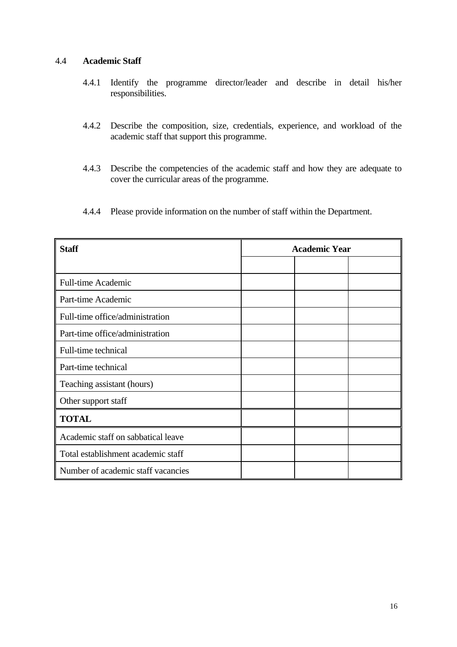# 4.4 **Academic Staff**

- 4.4.1 Identify the programme director/leader and describe in detail his/her responsibilities.
- 4.4.2 Describe the composition, size, credentials, experience, and workload of the academic staff that support this programme.
- 4.4.3 Describe the competencies of the academic staff and how they are adequate to cover the curricular areas of the programme.
- 4.4.4 Please provide information on the number of staff within the Department.

| <b>Staff</b>                       | <b>Academic Year</b> |  |  |  |  |
|------------------------------------|----------------------|--|--|--|--|
|                                    |                      |  |  |  |  |
| <b>Full-time Academic</b>          |                      |  |  |  |  |
| Part-time Academic                 |                      |  |  |  |  |
| Full-time office/administration    |                      |  |  |  |  |
| Part-time office/administration    |                      |  |  |  |  |
| Full-time technical                |                      |  |  |  |  |
| Part-time technical                |                      |  |  |  |  |
| Teaching assistant (hours)         |                      |  |  |  |  |
| Other support staff                |                      |  |  |  |  |
| <b>TOTAL</b>                       |                      |  |  |  |  |
| Academic staff on sabbatical leave |                      |  |  |  |  |
| Total establishment academic staff |                      |  |  |  |  |
| Number of academic staff vacancies |                      |  |  |  |  |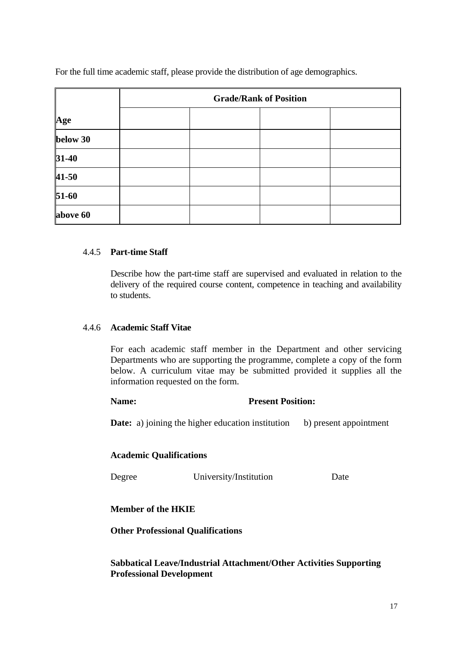For the full time academic staff, please provide the distribution of age demographics.

|           | <b>Grade/Rank of Position</b> |  |  |  |  |  |  |  |
|-----------|-------------------------------|--|--|--|--|--|--|--|
| Age       |                               |  |  |  |  |  |  |  |
| below 30  |                               |  |  |  |  |  |  |  |
| $31-40$   |                               |  |  |  |  |  |  |  |
| $41 - 50$ |                               |  |  |  |  |  |  |  |
| $51-60$   |                               |  |  |  |  |  |  |  |
| above 60  |                               |  |  |  |  |  |  |  |

# 4.4.5 **Part-time Staff**

Describe how the part-time staff are supervised and evaluated in relation to the delivery of the required course content, competence in teaching and availability to students.

# 4.4.6 **Academic Staff Vitae**

For each academic staff member in the Department and other servicing Departments who are supporting the programme, complete a copy of the form below. A curriculum vitae may be submitted provided it supplies all the information requested on the form.

#### **Name:** Present Position:

**Date:** a) joining the higher education institution b) present appointment

# **Academic Qualifications**

Degree University/Institution Date

# **Member of the HKIE**

 **Other Professional Qualifications** 

**Sabbatical Leave/Industrial Attachment/Other Activities Supporting Professional Development**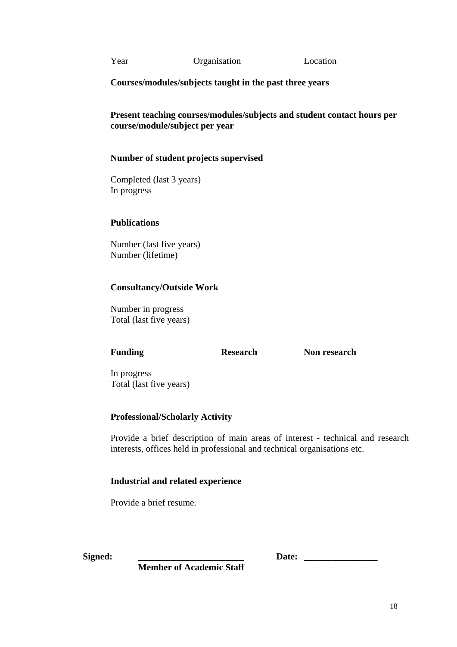Year Organisation Location

**Courses/modules/subjects taught in the past three years** 

**Present teaching courses/modules/subjects and student contact hours per course/module/subject per year** 

# **Number of student projects supervised**

Completed (last 3 years) In progress

# **Publications**

Number (last five years) Number (lifetime)

# **Consultancy/Outside Work**

Number in progress Total (last five years)

**Funding Research Non research** 

In progress Total (last five years)

# **Professional/Scholarly Activity**

Provide a brief description of main areas of interest - technical and research interests, offices held in professional and technical organisations etc.

# **Industrial and related experience**

Provide a brief resume.

**Signed: \_\_\_\_\_\_\_\_\_\_\_\_\_\_\_\_\_\_\_\_\_\_\_ Date: \_\_\_\_\_\_\_\_\_\_\_\_\_\_\_\_** 

 **Member of Academic Staff**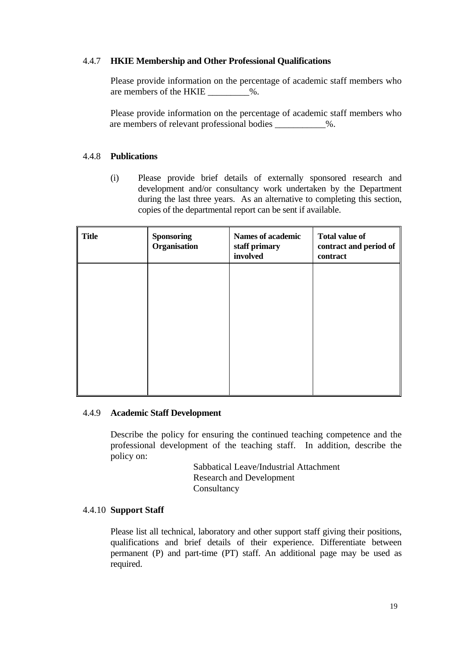# 4.4.7 **HKIE Membership and Other Professional Qualifications**

Please provide information on the percentage of academic staff members who are members of the HKIE  $\_\_\_\_\$ .

Please provide information on the percentage of academic staff members who are members of relevant professional bodies  $\%$ .

# 4.4.8 **Publications**

(i) Please provide brief details of externally sponsored research and development and/or consultancy work undertaken by the Department during the last three years. As an alternative to completing this section, copies of the departmental report can be sent if available.

| <b>Title</b> | <b>Sponsoring</b><br>Organisation | <b>Names of academic</b><br>staff primary<br>involved | <b>Total value of</b><br>contract and period of $\parallel$<br>contract |
|--------------|-----------------------------------|-------------------------------------------------------|-------------------------------------------------------------------------|
|              |                                   |                                                       |                                                                         |
|              |                                   |                                                       |                                                                         |
|              |                                   |                                                       |                                                                         |
|              |                                   |                                                       |                                                                         |

# 4.4.9 **Academic Staff Development**

Describe the policy for ensuring the continued teaching competence and the professional development of the teaching staff. In addition, describe the policy on:

> Sabbatical Leave/Industrial Attachment Research and Development Consultancy

# 4.4.10 **Support Staff**

Please list all technical, laboratory and other support staff giving their positions, qualifications and brief details of their experience. Differentiate between permanent (P) and part-time (PT) staff. An additional page may be used as required.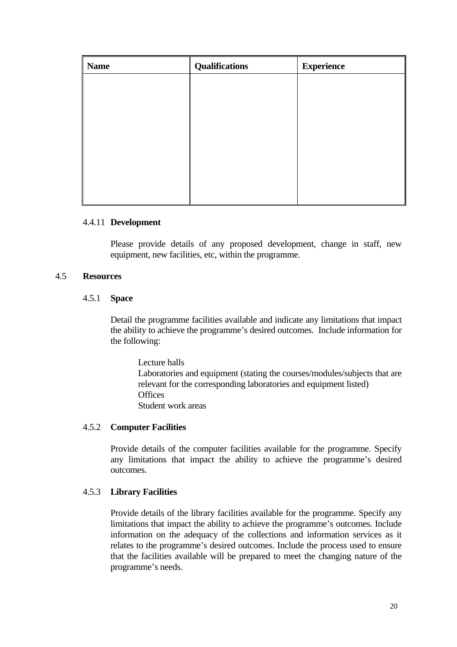| <b>Name</b> | <b>Qualifications</b> | <b>Experience</b> |
|-------------|-----------------------|-------------------|
|             |                       |                   |
|             |                       |                   |
|             |                       |                   |
|             |                       |                   |
|             |                       |                   |
|             |                       |                   |
|             |                       |                   |
|             |                       |                   |

#### 4.4.11 **Development**

Please provide details of any proposed development, change in staff, new equipment, new facilities, etc, within the programme.

#### 4.5 **Resources**

# 4.5.1 **Space**

Detail the programme facilities available and indicate any limitations that impact the ability to achieve the programme's desired outcomes. Include information for the following:

 Lecture halls Laboratories and equipment (stating the courses/modules/subjects that are relevant for the corresponding laboratories and equipment listed) **Offices** Student work areas

# 4.5.2 **Computer Facilities**

Provide details of the computer facilities available for the programme. Specify any limitations that impact the ability to achieve the programme's desired outcomes.

# 4.5.3 **Library Facilities**

Provide details of the library facilities available for the programme. Specify any limitations that impact the ability to achieve the programme's outcomes. Include information on the adequacy of the collections and information services as it relates to the programme's desired outcomes. Include the process used to ensure that the facilities available will be prepared to meet the changing nature of the programme's needs.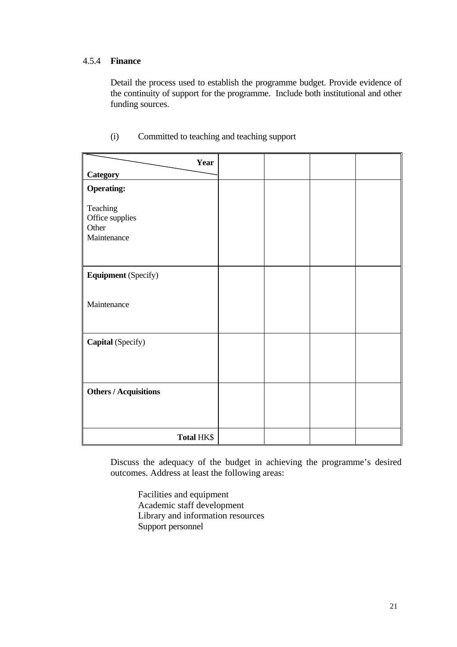# 4.5.4 **Finance**

Detail the process used to establish the programme budget. Provide evidence of the continuity of support for the programme. Include both institutional and other funding sources.

| Year                                                |  |  |
|-----------------------------------------------------|--|--|
| <b>Category</b>                                     |  |  |
| <b>Operating:</b>                                   |  |  |
| Teaching<br>Office supplies<br>Other<br>Maintenance |  |  |
| <b>Equipment</b> (Specify)                          |  |  |
| Maintenance                                         |  |  |
| Capital (Specify)                                   |  |  |
| <b>Others / Acquisitions</b>                        |  |  |
| Total HK\$                                          |  |  |

(i) Committed to teaching and teaching support

Discuss the adequacy of the budget in achieving the programme's desired outcomes. Address at least the following areas:

Facilities and equipment Academic staff development Library and information resources Support personnel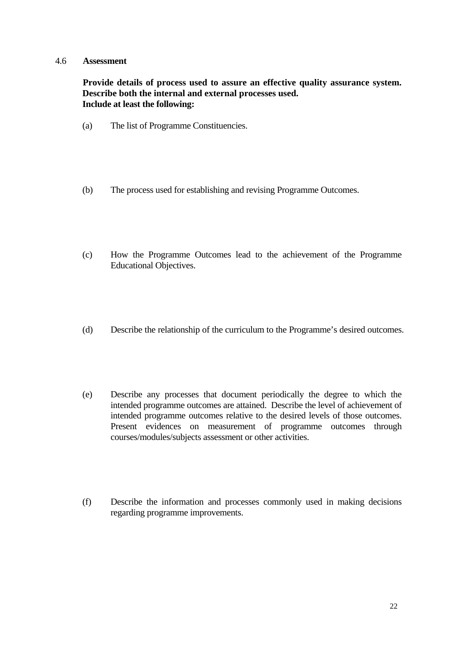#### 4.6 **Assessment**

**Provide details of process used to assure an effective quality assurance system. Describe both the internal and external processes used. Include at least the following:** 

- (a) The list of Programme Constituencies.
- (b) The process used for establishing and revising Programme Outcomes.
- (c) How the Programme Outcomes lead to the achievement of the Programme Educational Objectives.
- (d) Describe the relationship of the curriculum to the Programme's desired outcomes.
- (e) Describe any processes that document periodically the degree to which the intended programme outcomes are attained. Describe the level of achievement of intended programme outcomes relative to the desired levels of those outcomes. Present evidences on measurement of programme outcomes through courses/modules/subjects assessment or other activities.
- (f) Describe the information and processes commonly used in making decisions regarding programme improvements.